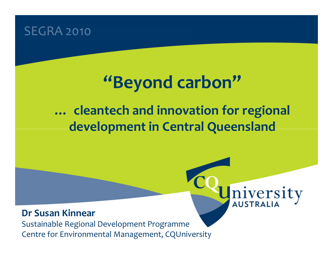## SEGRA 2010

# "Beyond carbon"

# … cleantech and innovation for regional development in Central Queensland

# niversity

#### Dr Susan Kinnear

 Sustainable Regional Development ProgrammeCentre for Environmental Management, CQUniversity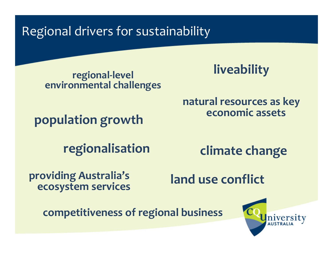Regional drivers for sustainability

regional-level environmental challenges **liveability** 

natural resources as key economic assets

population growth

regionalisation

climate change

providing Australia's ecosystem services

land use conflict

competitiveness of regional business

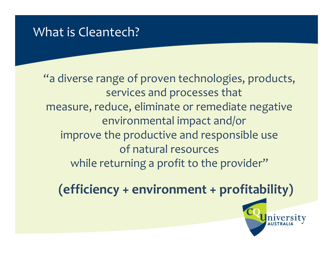## What is Cleantech?

"a diverse range of proven technologies, products, services and processes that measure, reduce, eliminate or remediate negative environmental impact and/or improve the productive and responsible use of natural resources while returning a profit to the provider"

(efficiency + environment + profitability)

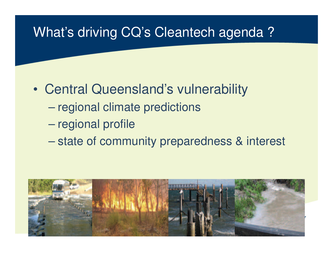# What's driving CQ's Cleantech agenda ?

- $\bullet$  Central Queensland's vulnerability
	- $\mathcal{L}_{\mathcal{A}}$  , the state of the state  $\mathcal{L}_{\mathcal{A}}$ regional climate predictions
	- and the contract of the con-– regional profile
	- $\mathcal{L}_{\mathcal{A}}$  , the state of the state  $\mathcal{L}_{\mathcal{A}}$ state of community preparedness & interest

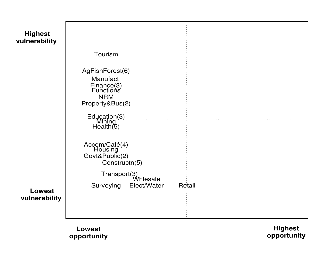

**Lowestopportunity**

**Highestopportunity**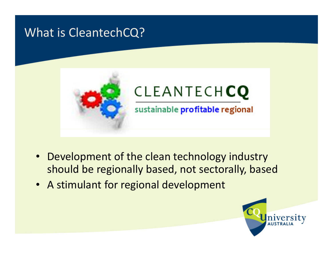## What is CleantechCQ?



- Development of the clean technology industry should be regionally based, not sectorally, based
- A stimulant for regional development

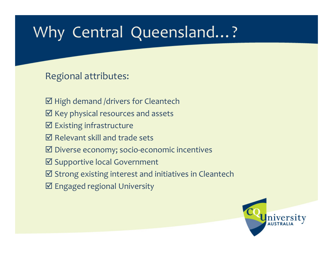# Why Central Queensland…?

#### Regional attributes:

- M High demand /drivers for Cleantech
- $\boxtimes$  Key physical resources and assets
- **Ø** Existing infrastructure<br> **a** t
- $\boxtimes$  Relevant skill and trade sets
- **Ø Diverse economy; socio-economic incentives**
- **Ø Supportive local Government**<br>■ supportive local Government
- **Ø** Strong existing interest and initiatives in Cleantech
- $\boxtimes$  Engaged regional University

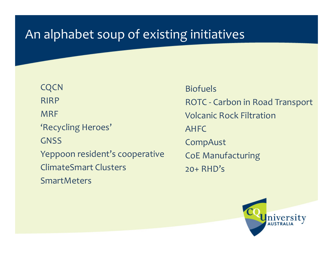# An alphabet soup of existing initiatives

**CQCN** RIRPMRF'Recycling Heroes'**GNSS** Yeppoon resident's cooperativeClimateSmart Clusters **SmartMeters** 

BiofuelsROTC - Carbon in Road Transport Volcanic Rock FiltrationAHFCCompAustCoE Manufacturing20+ RHD's

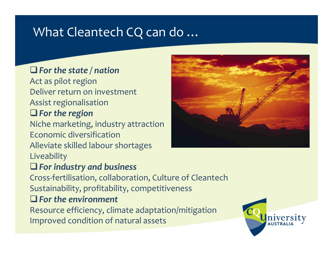# What Cleantech CQ can do …

## $\Box$  For the state / nation Act as pilot region Deliver return on investmentAssist regionalisation $\Box$  For the region Niche marketing, industry attractionEconomic diversification Alleviate skilled labour shortages Liveability $\Box$  For industry and business



 Cross-fertilisation, collaboration, Culture of CleantechSustainability, profitability, competitiveness

#### $\Box$  For the environment

Resource efficiency, climate adaptation/mitigationImproved condition of natural assets

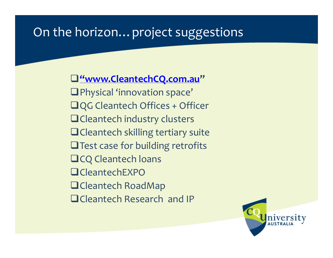# On the horizon…project suggestions

-"www.CleantechCQ.com.au"-Physical 'innovation space' $\Box$ QG Cleantech Offices + Officer  $\blacksquare$  Cleantech industry clusters  $\blacksquare$  Cleantech skilling tertiary suite  $\square$  Test case for building retrofits  $\Box$ CQ Cleantech loans **□**CleantechEXPO  $\blacksquare$ Cleantech RoadMap **QCleantech Research and IP** 

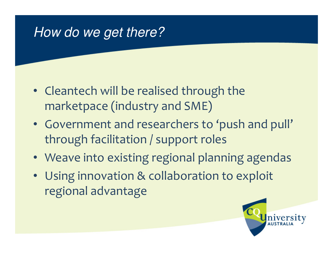# How do we get there?

- Cleantech will be realised through the marketpace (industry and SME)
- Government and researchers to 'push and pull' through facilitation / support roles
- Weave into existing regional planning agendas
- Using innovation & collaboration to exploit regional advantage